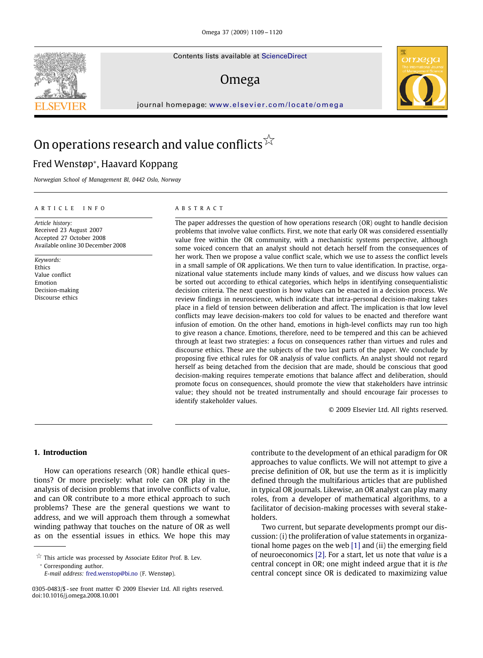Contents lists available at [ScienceDirect](http://www.sciencedirect.com/science/journal/omega)

# Omega



journal homepage: [www.elsevier.com/locate/omega](http://www.elsevier.com/locate/omega)

# On operations research and value conflicts  $^{\not\searrow}$

## Fred Wenstøp<sup>∗</sup>, Haavard Koppang

*Norwegian School of Management BI, 0442 Oslo, Norway*

## ARTICLE INFO ABSTRACT

*Article history:* Received 23 August 2007 Accepted 27 October 2008 Available online 30 December 2008

*Keywords:* Ethics Value conflict Emotion Decision-making Discourse ethics

The paper addresses the question of how operations research (OR) ought to handle decision problems that involve value conflicts. First, we note that early OR was considered essentially value free within the OR community, with a mechanistic systems perspective, although some voiced concern that an analyst should not detach herself from the consequences of her work. Then we propose a value conflict scale, which we use to assess the conflict levels in a small sample of OR applications. We then turn to value identification. In practise, organizational value statements include many kinds of values, and we discuss how values can be sorted out according to ethical categories, which helps in identifying consequentialistic decision criteria. The next question is how values can be enacted in a decision process. We review findings in neuroscience, which indicate that intra-personal decision-making takes place in a field of tension between deliberation and affect. The implication is that low level conflicts may leave decision-makers too cold for values to be enacted and therefore want infusion of emotion. On the other hand, emotions in high-level conflicts may run too high to give reason a chance. Emotions, therefore, need to be tempered and this can be achieved through at least two strategies: a focus on consequences rather than virtues and rules and discourse ethics. These are the subjects of the two last parts of the paper. We conclude by proposing five ethical rules for OR analysis of value conflicts. An analyst should not regard herself as being detached from the decision that are made, should be conscious that good decision-making requires temperate emotions that balance affect and deliberation, should promote focus on consequences, should promote the view that stakeholders have intrinsic value; they should not be treated instrumentally and should encourage fair processes to identify stakeholder values.

© 2009 Elsevier Ltd. All rights reserved.

## **1. Introduction**

How can operations research (OR) handle ethical questions? Or more precisely: what role can OR play in the analysis of decision problems that involve conflicts of value, and can OR contribute to a more ethical approach to such problems? These are the general questions we want to address, and we will approach them through a somewhat winding pathway that touches on the nature of OR as well as on the essential issues in ethics. We hope this may

 $\overleftrightarrow{\mathbb{X}}$  This article was processed by Associate Editor Prof. B. Lev.

Corresponding author.

*E-mail address: [fred.wenstop@bi.no](mailto:fred.wenstop@bi.no) (F. Wenstøp).* 

contribute to the development of an ethical paradigm for OR approaches to value conflicts. We will not attempt to give a precise definition of OR, but use the term as it is implicitly defined through the multifarious articles that are published in typical OR journals. Likewise, an OR analyst can play many roles, from a developer of mathematical algorithms, to a facilitator of decision-making processes with several stakeholders.

Two current, but separate developments prompt our discussion: (i) the proliferation of value statements in organizational home pages on the web [\[1\]](#page--1-0) and (ii) the emerging field of neuroeconomics [\[2\].](#page--1-1) For a start, let us note that *value* is a central concept in OR; one might indeed argue that it is *the* central concept since OR is dedicated to maximizing value



<sup>0305-0483/\$ -</sup> see front matter © 2009 Elsevier Ltd. All rights reserved. doi:10.1016/j.omega.2008.10.001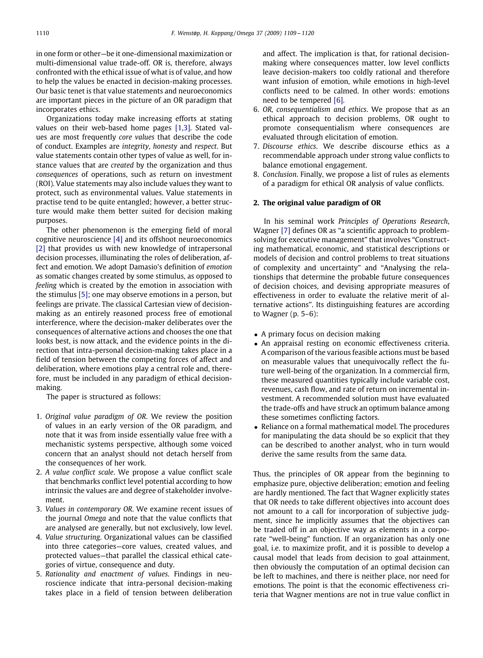in one form or other—be it one-dimensional maximization or multi-dimensional value trade-off. OR is, therefore, always confronted with the ethical issue of what is of value, and how to help the values be enacted in decision-making processes. Our basic tenet is that value statements and neuroeconomics are important pieces in the picture of an OR paradigm that incorporates ethics.

Organizations today make increasing efforts at stating values on their web-based home pages [1,3]. Stated values are most frequently *core values* that describe the code of conduct. Examples are *integrity*, *honesty* and *respect*. But value statements contain other types of value as well, for instance values that are *created* by the organization and thus *consequences* of operations, such as return on investment (ROI). Value statements may also include values they want to protect, such as environmental values. Value statements in practise tend to be quite entangled; however, a better structure would make them better suited for decision making purposes.

The other phenomenon is the emerging field of moral cognitive neuroscience [\[4\]](#page--1-2) and its offshoot neuroeconomics [\[2\]](#page--1-1) that provides us with new knowledge of intrapersonal decision processes, illuminating the roles of deliberation, affect and emotion. We adopt Damasio's definition of *emotion* as somatic changes created by some stimulus, as opposed to *feeling* which is created by the emotion in association with the stimulus [\[5\];](#page--1-3) one may observe emotions in a person, but feelings are private. The classical Cartesian view of decisionmaking as an entirely reasoned process free of emotional interference, where the decision-maker deliberates over the consequences of alternative actions and chooses the one that looks best, is now attack, and the evidence points in the direction that intra-personal decision-making takes place in a field of tension between the competing forces of affect and deliberation, where emotions play a central role and, therefore, must be included in any paradigm of ethical decisionmaking.

The paper is structured as follows:

- 1. *Original value paradigm of OR*. We review the position of values in an early version of the OR paradigm, and note that it was from inside essentially value free with a mechanistic systems perspective, although some voiced concern that an analyst should not detach herself from the consequences of her work.
- 2. *A value conflict scale*. We propose a value conflict scale that benchmarks conflict level potential according to how intrinsic the values are and degree of stakeholder involvement.
- 3. *Values in contemporary OR*. We examine recent issues of the journal *Omega* and note that the value conflicts that are analysed are generally, but not exclusively, low level.
- 4. *Value structuring*. Organizational values can be classified into three categories—core values, created values, and protected values—that parallel the classical ethical categories of virtue, consequence and duty.
- 5. *Rationality and enactment of values*. Findings in neuroscience indicate that intra-personal decision-making takes place in a field of tension between deliberation

and affect. The implication is that, for rational decisionmaking where consequences matter, low level conflicts leave decision-makers too coldly rational and therefore want infusion of emotion, while emotions in high-level conflicts need to be calmed. In other words: emotions need to be tempered [\[6\].](#page--1-4)

- 6. *OR, consequentialism and ethics*. We propose that as an ethical approach to decision problems, OR ought to promote consequentialism where consequences are evaluated through elicitation of emotion.
- 7. *Discourse ethics*. We describe discourse ethics as a recommendable approach under strong value conflicts to balance emotional engagement.
- 8. *Conclusion*. Finally, we propose a list of rules as elements of a paradigm for ethical OR analysis of value conflicts.

## **2. The original value paradigm of OR**

In his seminal work *Principles of Operations Research*, Wagner [\[7\]](#page--1-5) defines OR as "a scientific approach to problemsolving for executive management" that involves "Constructing mathematical, economic, and statistical descriptions or models of decision and control problems to treat situations of complexity and uncertainty" and "Analysing the relationships that determine the probable future consequences of decision choices, and devising appropriate measures of effectiveness in order to evaluate the relative merit of alternative actions". Its distinguishing features are according to Wagner (p. 5–6):

- A primary focus on decision making
- An appraisal resting on economic effectiveness criteria. A comparison of the various feasible actions must be based on measurable values that unequivocally reflect the future well-being of the organization. In a commercial firm, these measured quantities typically include variable cost, revenues, cash flow, and rate of return on incremental investment. A recommended solution must have evaluated the trade-offs and have struck an optimum balance among these sometimes conflicting factors.
- Reliance on a formal mathematical model. The procedures for manipulating the data should be so explicit that they can be described to another analyst, who in turn would derive the same results from the same data.

Thus, the principles of OR appear from the beginning to emphasize pure, objective deliberation; emotion and feeling are hardly mentioned. The fact that Wagner explicitly states that OR needs to take different objectives into account does not amount to a call for incorporation of subjective judgment, since he implicitly assumes that the objectives can be traded off in an objective way as elements in a corporate "well-being" function. If an organization has only one goal, i.e. to maximize profit, and it is possible to develop a causal model that leads from decision to goal attainment, then obviously the computation of an optimal decision can be left to machines, and there is neither place, nor need for emotions. The point is that the economic effectiveness criteria that Wagner mentions are not in true value conflict in